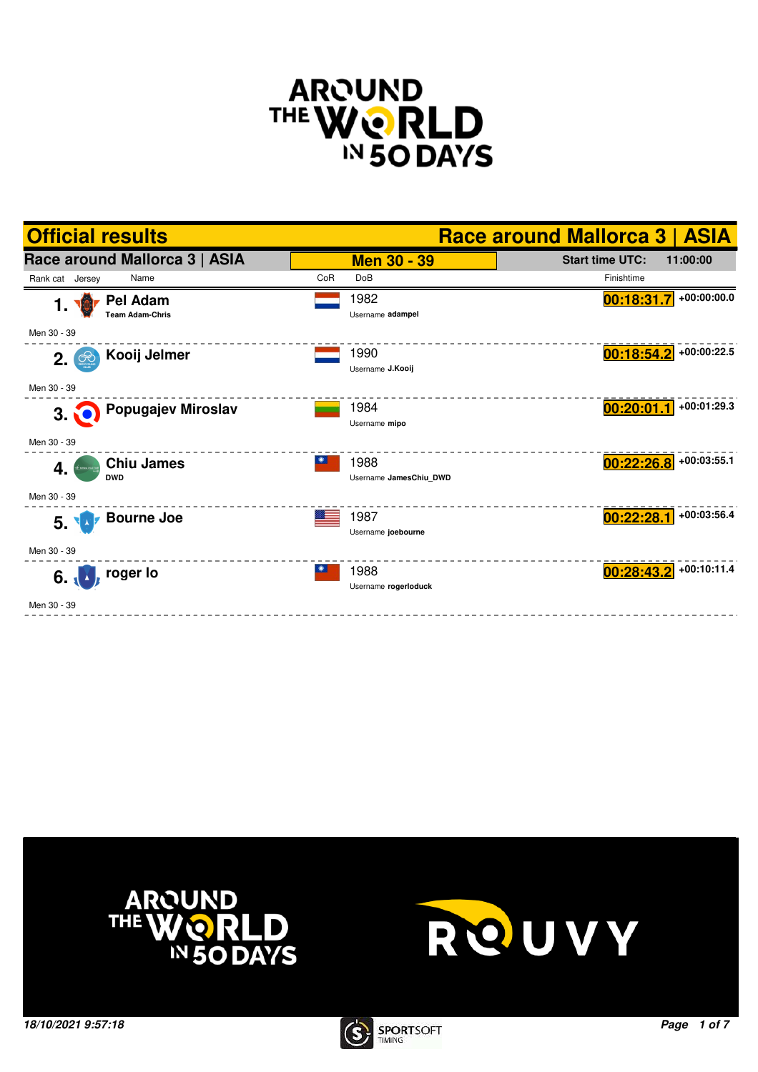







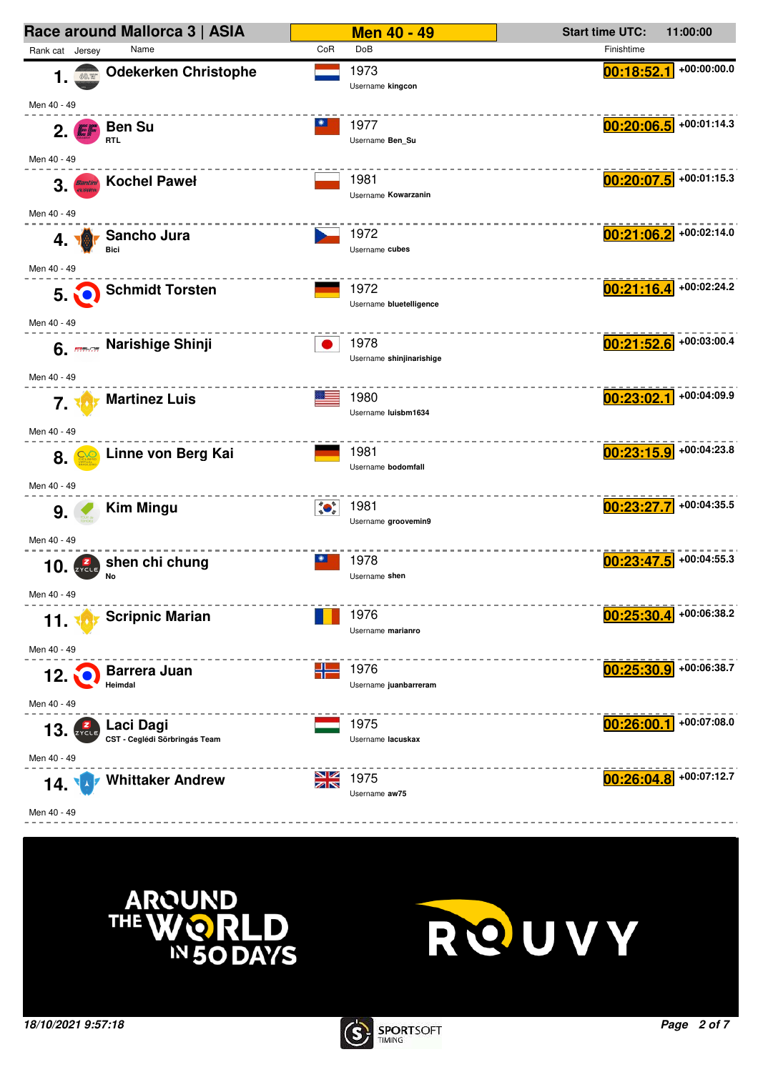





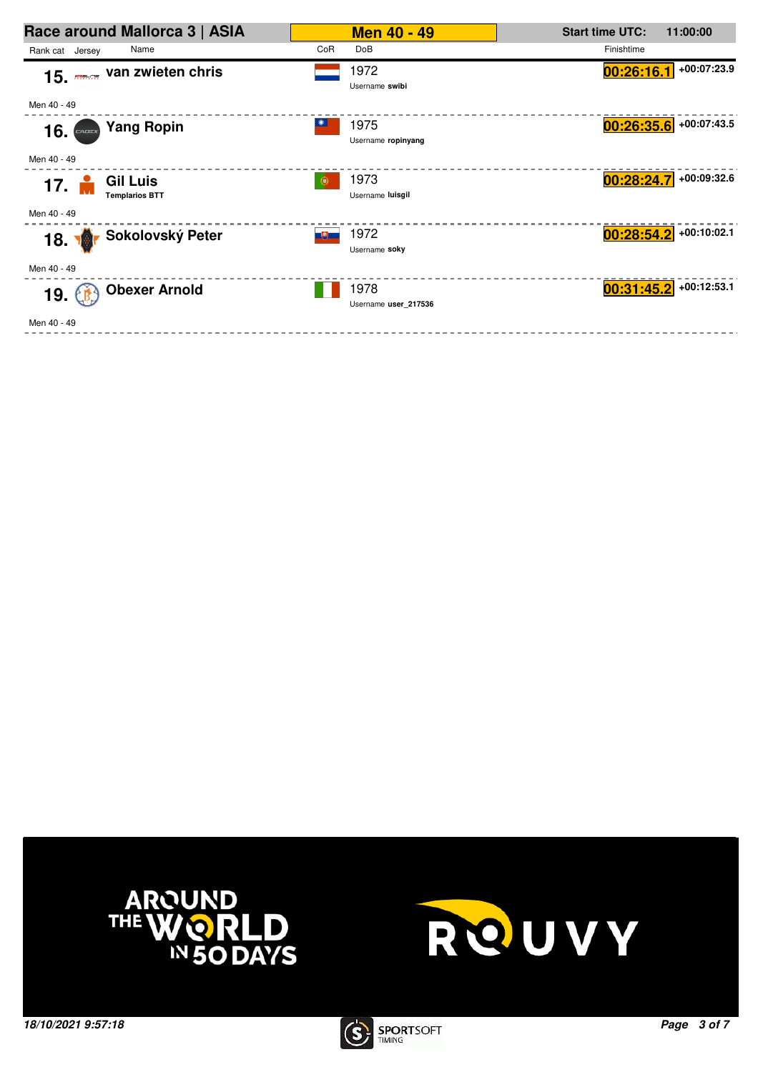| Race around Mallorca 3   ASIA                    |                     | <b>Men 40 - 49</b>           | <b>Start time UTC:</b> | 11:00:00                 |
|--------------------------------------------------|---------------------|------------------------------|------------------------|--------------------------|
| Rank cat Jersey<br>Name                          | CoR                 | DoB                          | Finishtime             |                          |
| 15. <b>media Van zwieten chris</b>               |                     | 1972<br>Username swibi       | 00:26:16.1             | +00:07:23.9              |
| Men 40 - 49                                      |                     |                              |                        |                          |
| <b>Yang Ropin</b><br>16.                         |                     | 1975<br>Username ropinyang   |                        | $00:26:35.6$ +00:07:43.5 |
| Men 40 - 49                                      |                     |                              |                        |                          |
| <b>Gil Luis</b><br>17.1<br><b>Templarios BTT</b> | $\left( 0, \right)$ | 1973<br>Username luisgil     | 00:28:24.7             | +00:09:32.6              |
| Men 40 - 49                                      |                     |                              |                        |                          |
| Sokolovský Peter<br><b>18. 18</b>                | 그런고                 | 1972<br>Username soky        | 00:28:54.2             | +00:10:02.1              |
| Men 40 - 49                                      |                     |                              |                        |                          |
| <b>Obexer Arnold</b><br>19. €                    |                     | 1978<br>Username user 217536 | 00:31:45.2             | $+00:12:53.1$            |
| Men 40 - 49                                      |                     |                              |                        |                          |





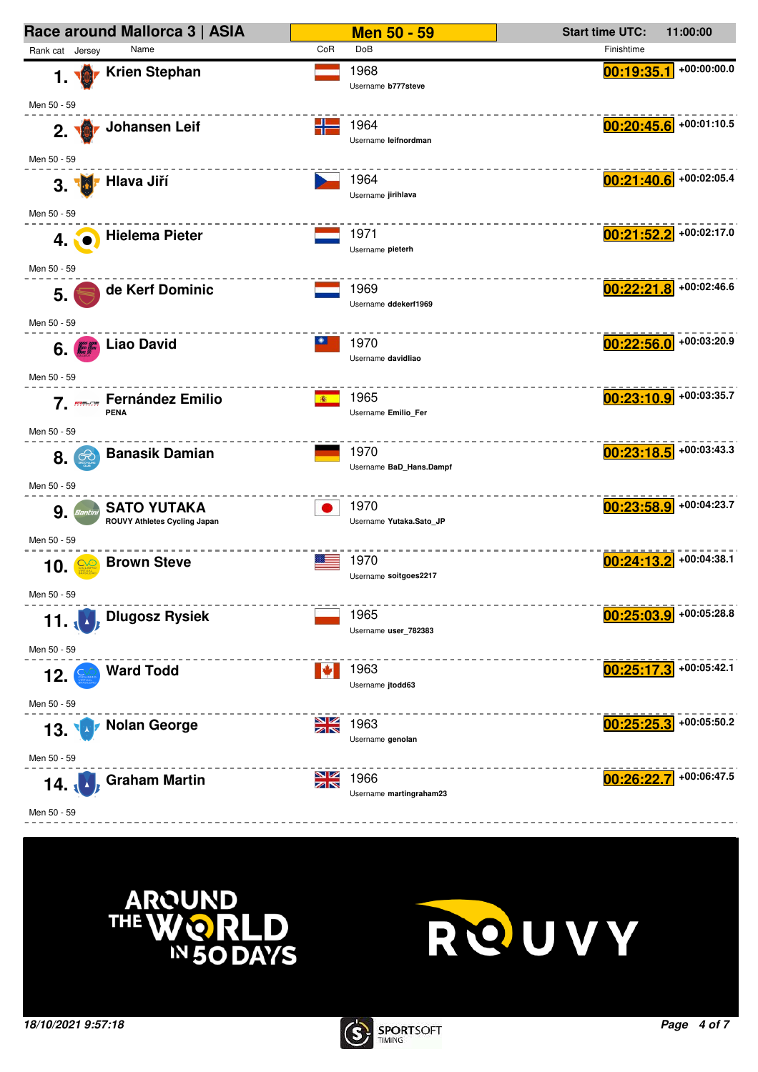





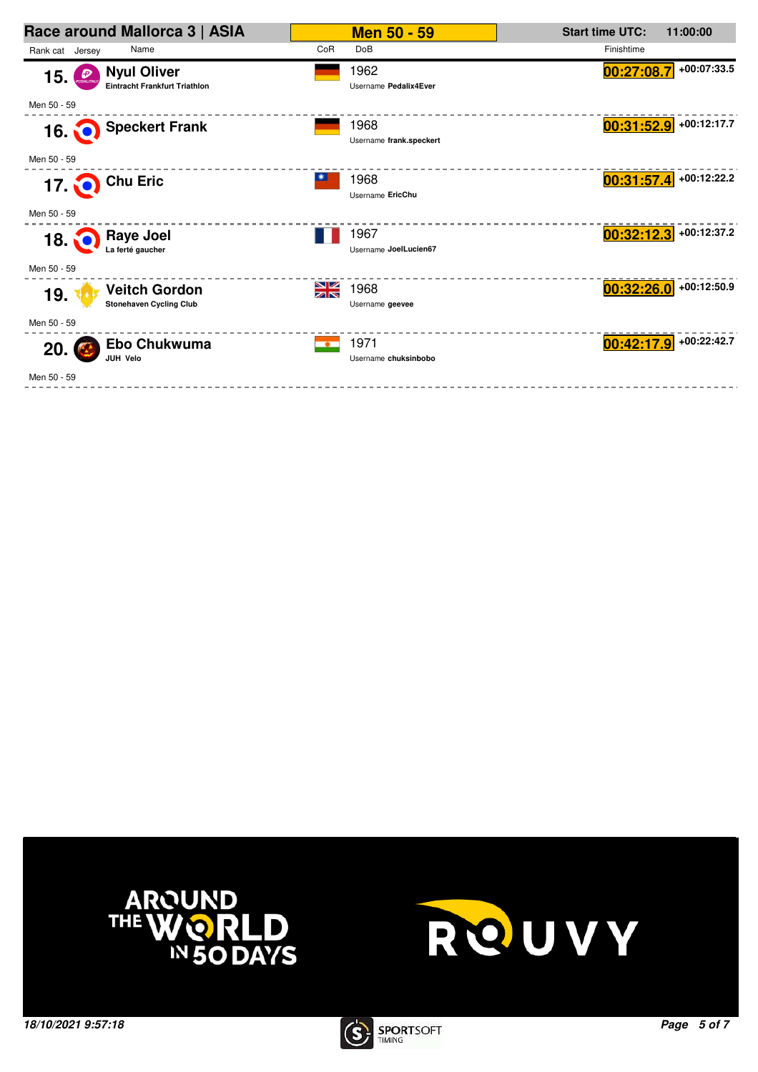| Race around Mallorca 3   ASIA                                    | <b>Men 50 - 59</b>                        | <b>Start time UTC:</b><br>11:00:00 |
|------------------------------------------------------------------|-------------------------------------------|------------------------------------|
| Rank cat Jersey<br>Name                                          | CoR<br><b>DoB</b>                         | Finishtime                         |
| <b>Nyul Oliver</b><br>15<br><b>Eintracht Frankfurt Triathlon</b> | 1962<br>Username Pedalix4Ever             | +00:07:33.5<br>00:27:08.7          |
| Men 50 - 59                                                      |                                           |                                    |
| 16. Speckert Frank                                               | 1968<br>Username frank.speckert           | $00:31:52.9$ +00:12:17.7           |
| Men 50 - 59                                                      |                                           |                                    |
| 17. O Chu Eric                                                   | 1968<br>Username EricChu                  | $00:31:57.4$ +00:12:22.2           |
| Men 50 - 59                                                      |                                           |                                    |
| 18. Raye Joel La ferté gaucher                                   | 1967<br>Username JoelLucien67             | $00:32:12.3$ +00:12:37.2           |
| Men 50 - 59                                                      |                                           |                                    |
| <b>Veitch Gordon</b><br>19.<br><b>Stonehaven Cycling Club</b>    | NK<br>AR<br>1968<br>Username geevee       | $00:32:26.0$ +00:12:50.9           |
| Men 50 - 59                                                      |                                           |                                    |
| Ebo Chukwuma<br>20.<br><b>JUH Velo</b>                           | 1971<br>$\bullet$<br>Username chuksinbobo | $00:42:17.9$ +00:22:42.7           |
| Men 50 - 59                                                      |                                           |                                    |





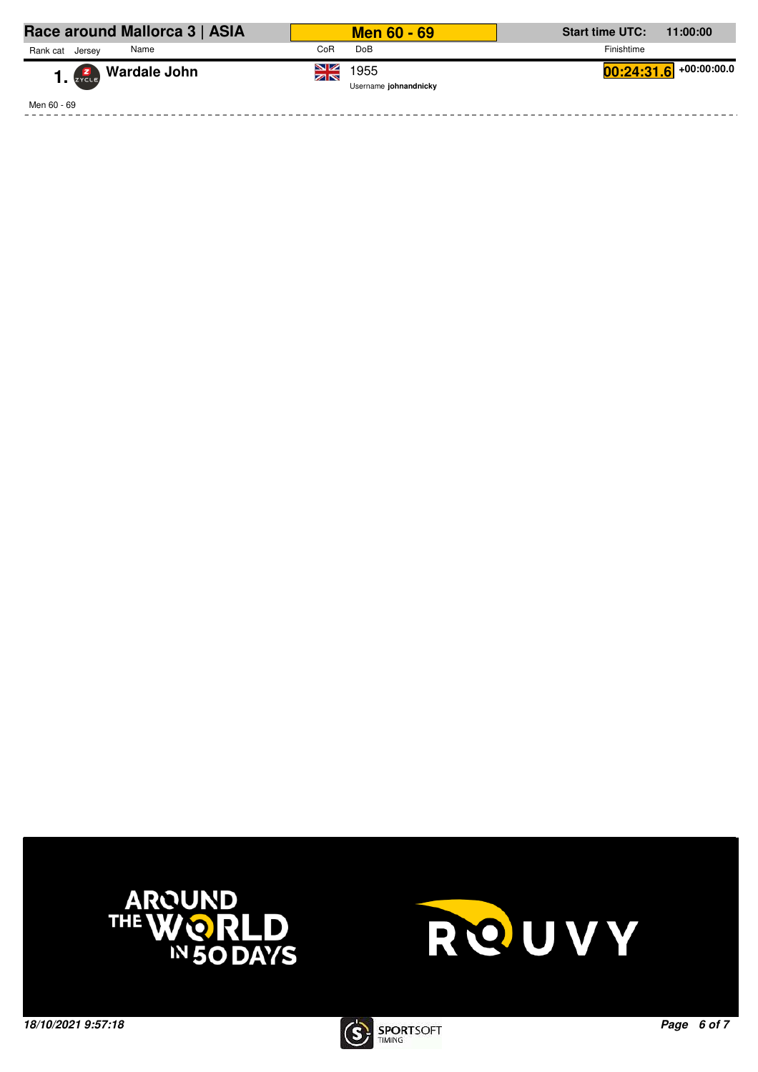| Race around Mallorca 3   ASIA | <b>Men 60 - 69</b>                      | <b>Start time UTC:</b><br>11:00:00 |
|-------------------------------|-----------------------------------------|------------------------------------|
| Rank cat<br>Name<br>Jersey    | <b>DoB</b><br>CoR                       | Finishtime                         |
| 1. <b>Zako Wardale John</b>   | ≫<br>X<br>1955<br>Username johnandnicky | $00:24:31.6$ +00:00:00.0           |
| Men 60 - 69                   |                                         |                                    |

-----------------